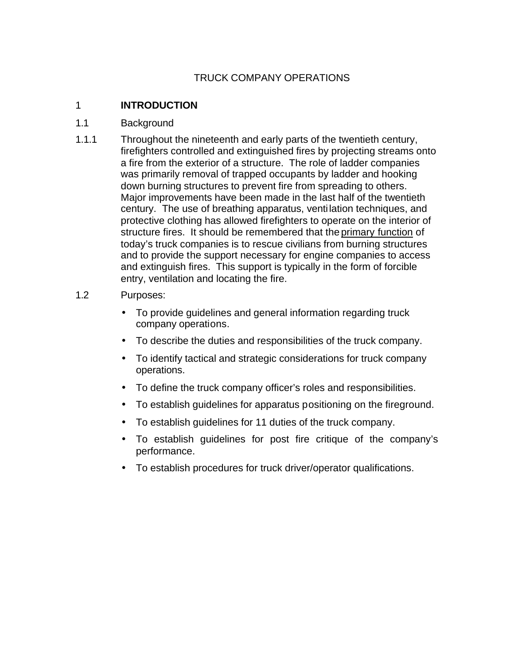# TRUCK COMPANY OPERATIONS

#### 1 **INTRODUCTION**

#### 1.1 Background

1.1.1 Throughout the nineteenth and early parts of the twentieth century, firefighters controlled and extinguished fires by projecting streams onto a fire from the exterior of a structure. The role of ladder companies was primarily removal of trapped occupants by ladder and hooking down burning structures to prevent fire from spreading to others. Major improvements have been made in the last half of the twentieth century. The use of breathing apparatus, venti lation techniques, and protective clothing has allowed firefighters to operate on the interior of structure fires. It should be remembered that the primary function of today's truck companies is to rescue civilians from burning structures and to provide the support necessary for engine companies to access and extinguish fires. This support is typically in the form of forcible entry, ventilation and locating the fire.

#### 1.2 Purposes:

- To provide guidelines and general information regarding truck company operations.
- To describe the duties and responsibilities of the truck company.
- To identify tactical and strategic considerations for truck company operations.
- To define the truck company officer's roles and responsibilities.
- To establish guidelines for apparatus positioning on the fireground.
- To establish guidelines for 11 duties of the truck company.
- To establish guidelines for post fire critique of the company's performance.
- To establish procedures for truck driver/operator qualifications.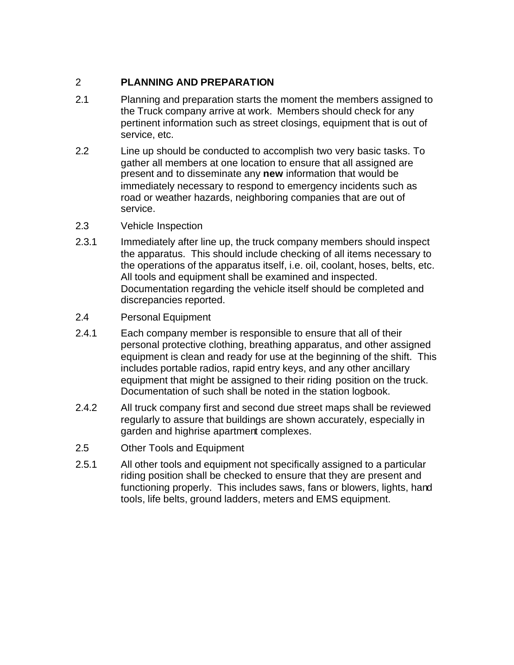# 2 **PLANNING AND PREPARATION**

- 2.1 Planning and preparation starts the moment the members assigned to the Truck company arrive at work. Members should check for any pertinent information such as street closings, equipment that is out of service, etc.
- 2.2 Line up should be conducted to accomplish two very basic tasks. To gather all members at one location to ensure that all assigned are present and to disseminate any **new** information that would be immediately necessary to respond to emergency incidents such as road or weather hazards, neighboring companies that are out of service.
- 2.3 Vehicle Inspection
- 2.3.1 Immediately after line up, the truck company members should inspect the apparatus. This should include checking of all items necessary to the operations of the apparatus itself, i.e. oil, coolant, hoses, belts, etc. All tools and equipment shall be examined and inspected. Documentation regarding the vehicle itself should be completed and discrepancies reported.
- 2.4 Personal Equipment
- 2.4.1 Each company member is responsible to ensure that all of their personal protective clothing, breathing apparatus, and other assigned equipment is clean and ready for use at the beginning of the shift. This includes portable radios, rapid entry keys, and any other ancillary equipment that might be assigned to their riding position on the truck. Documentation of such shall be noted in the station logbook.
- 2.4.2 All truck company first and second due street maps shall be reviewed regularly to assure that buildings are shown accurately, especially in garden and highrise apartment complexes.
- 2.5 Other Tools and Equipment
- 2.5.1 All other tools and equipment not specifically assigned to a particular riding position shall be checked to ensure that they are present and functioning properly. This includes saws, fans or blowers, lights, hand tools, life belts, ground ladders, meters and EMS equipment.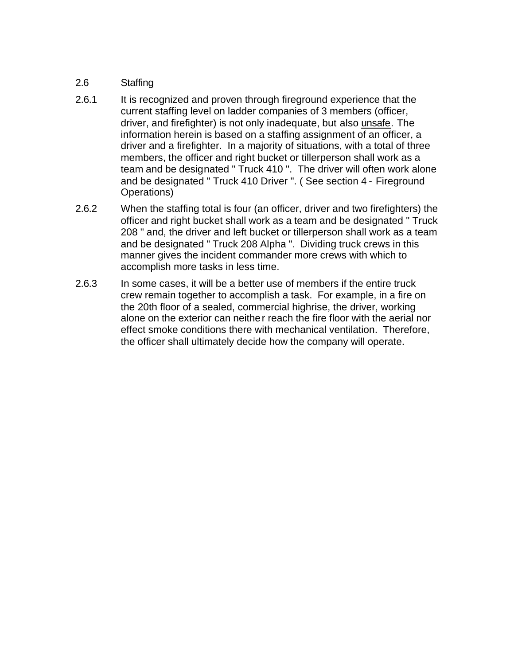#### 2.6 Staffing

- 2.6.1 It is recognized and proven through fireground experience that the current staffing level on ladder companies of 3 members (officer, driver, and firefighter) is not only inadequate, but also unsafe. The information herein is based on a staffing assignment of an officer, a driver and a firefighter. In a majority of situations, with a total of three members, the officer and right bucket or tillerperson shall work as a team and be designated " Truck 410 ". The driver will often work alone and be designated " Truck 410 Driver ". ( See section 4 - Fireground Operations)
- 2.6.2 When the staffing total is four (an officer, driver and two firefighters) the officer and right bucket shall work as a team and be designated " Truck 208 " and, the driver and left bucket or tillerperson shall work as a team and be designated " Truck 208 Alpha ". Dividing truck crews in this manner gives the incident commander more crews with which to accomplish more tasks in less time.
- 2.6.3 In some cases, it will be a better use of members if the entire truck crew remain together to accomplish a task. For example, in a fire on the 20th floor of a sealed, commercial highrise, the driver, working alone on the exterior can neither reach the fire floor with the aerial nor effect smoke conditions there with mechanical ventilation. Therefore, the officer shall ultimately decide how the company will operate.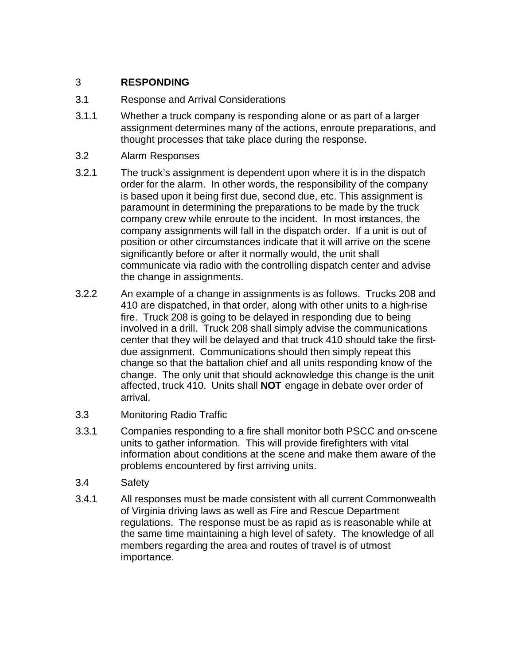## 3 **RESPONDING**

- 3.1 Response and Arrival Considerations
- 3.1.1 Whether a truck company is responding alone or as part of a larger assignment determines many of the actions, enroute preparations, and thought processes that take place during the response.
- 3.2 Alarm Responses
- 3.2.1 The truck's assignment is dependent upon where it is in the dispatch order for the alarm. In other words, the responsibility of the company is based upon it being first due, second due, etc. This assignment is paramount in determining the preparations to be made by the truck company crew while enroute to the incident. In most instances, the company assignments will fall in the dispatch order. If a unit is out of position or other circumstances indicate that it will arrive on the scene significantly before or after it normally would, the unit shall communicate via radio with the controlling dispatch center and advise the change in assignments.
- 3.2.2 An example of a change in assignments is as follows. Trucks 208 and 410 are dispatched, in that order, along with other units to a high-rise fire. Truck 208 is going to be delayed in responding due to being involved in a drill. Truck 208 shall simply advise the communications center that they will be delayed and that truck 410 should take the firstdue assignment. Communications should then simply repeat this change so that the battalion chief and all units responding know of the change. The only unit that should acknowledge this change is the unit affected, truck 410. Units shall **NOT** engage in debate over order of arrival.
- 3.3 Monitoring Radio Traffic
- 3.3.1 Companies responding to a fire shall monitor both PSCC and on-scene units to gather information. This will provide firefighters with vital information about conditions at the scene and make them aware of the problems encountered by first arriving units.
- 3.4 Safety
- 3.4.1 All responses must be made consistent with all current Commonwealth of Virginia driving laws as well as Fire and Rescue Department regulations. The response must be as rapid as is reasonable while at the same time maintaining a high level of safety. The knowledge of all members regarding the area and routes of travel is of utmost importance.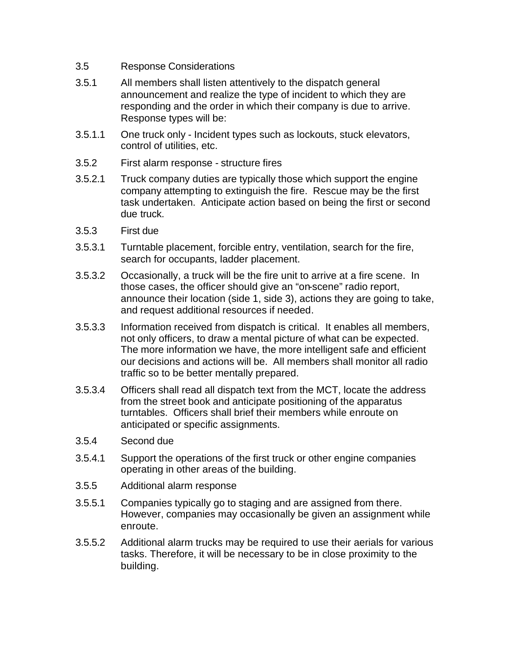- 3.5 Response Considerations
- 3.5.1 All members shall listen attentively to the dispatch general announcement and realize the type of incident to which they are responding and the order in which their company is due to arrive. Response types will be:
- 3.5.1.1 One truck only Incident types such as lockouts, stuck elevators, control of utilities, etc.
- 3.5.2 First alarm response structure fires
- 3.5.2.1 Truck company duties are typically those which support the engine company attempting to extinguish the fire. Rescue may be the first task undertaken. Anticipate action based on being the first or second due truck.
- 3.5.3 First due
- 3.5.3.1 Turntable placement, forcible entry, ventilation, search for the fire, search for occupants, ladder placement.
- 3.5.3.2 Occasionally, a truck will be the fire unit to arrive at a fire scene. In those cases, the officer should give an "on-scene" radio report, announce their location (side 1, side 3), actions they are going to take, and request additional resources if needed.
- 3.5.3.3 Information received from dispatch is critical. It enables all members, not only officers, to draw a mental picture of what can be expected. The more information we have, the more intelligent safe and efficient our decisions and actions will be. All members shall monitor all radio traffic so to be better mentally prepared.
- 3.5.3.4 Officers shall read all dispatch text from the MCT, locate the address from the street book and anticipate positioning of the apparatus turntables. Officers shall brief their members while enroute on anticipated or specific assignments.
- 3.5.4 Second due
- 3.5.4.1 Support the operations of the first truck or other engine companies operating in other areas of the building.
- 3.5.5 Additional alarm response
- 3.5.5.1 Companies typically go to staging and are assigned from there. However, companies may occasionally be given an assignment while enroute.
- 3.5.5.2 Additional alarm trucks may be required to use their aerials for various tasks. Therefore, it will be necessary to be in close proximity to the building.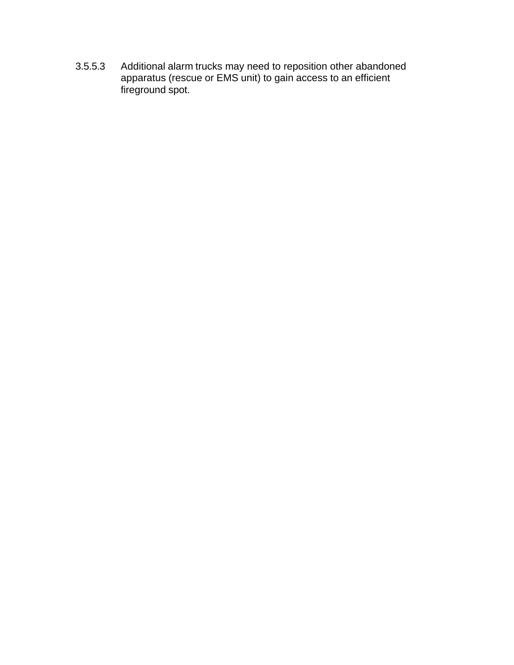3.5.5.3 Additional alarm trucks may need to reposition other abandoned apparatus (rescue or EMS unit) to gain access to an efficient fireground spot.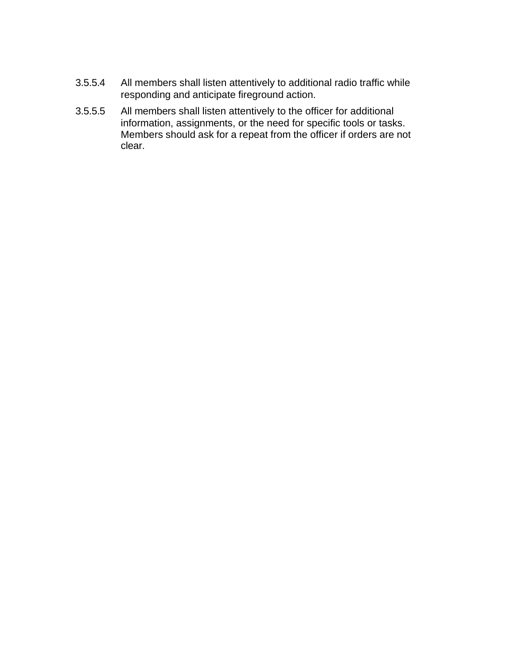- 3.5.5.4 All members shall listen attentively to additional radio traffic while responding and anticipate fireground action.
- 3.5.5.5 All members shall listen attentively to the officer for additional information, assignments, or the need for specific tools or tasks. Members should ask for a repeat from the officer if orders are not clear.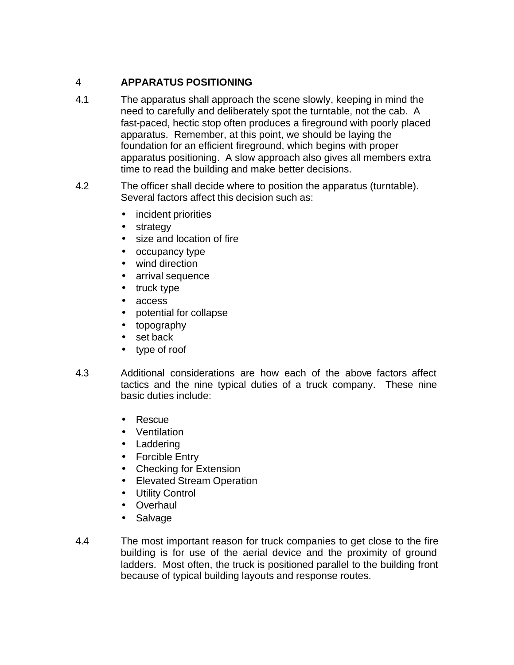# 4 **APPARATUS POSITIONING**

- 4.1 The apparatus shall approach the scene slowly, keeping in mind the need to carefully and deliberately spot the turntable, not the cab. A fast-paced, hectic stop often produces a fireground with poorly placed apparatus. Remember, at this point, we should be laying the foundation for an efficient fireground, which begins with proper apparatus positioning. A slow approach also gives all members extra time to read the building and make better decisions.
- 4.2 The officer shall decide where to position the apparatus (turntable). Several factors affect this decision such as:
	- incident priorities
	- strategy
	- size and location of fire
	- occupancy type
	- wind direction
	- arrival sequence
	- truck type
	- access
	- potential for collapse
	- topography
	- set back
	- type of roof
- 4.3 Additional considerations are how each of the above factors affect tactics and the nine typical duties of a truck company. These nine basic duties include:
	- Rescue
	- Ventilation
	- Laddering
	- Forcible Entry
	- Checking for Extension
	- Elevated Stream Operation
	- Utility Control
	- Overhaul
	- Salvage
- 4.4 The most important reason for truck companies to get close to the fire building is for use of the aerial device and the proximity of ground ladders. Most often, the truck is positioned parallel to the building front because of typical building layouts and response routes.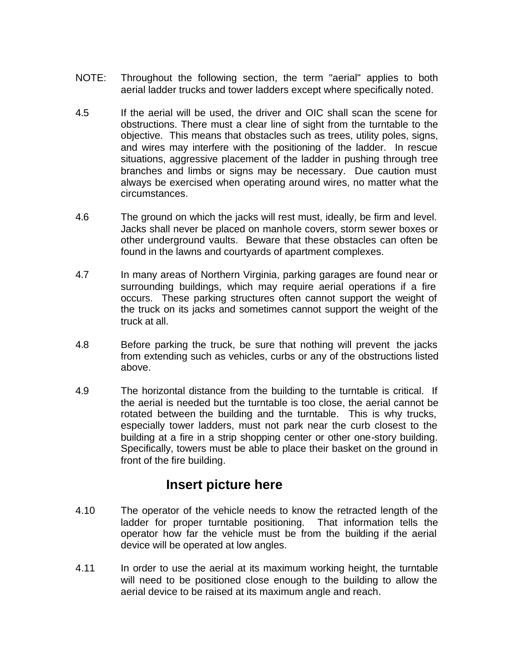- NOTE: Throughout the following section, the term "aerial" applies to both aerial ladder trucks and tower ladders except where specifically noted.
- 4.5 If the aerial will be used, the driver and OIC shall scan the scene for obstructions. There must a clear line of sight from the turntable to the objective. This means that obstacles such as trees, utility poles, signs, and wires may interfere with the positioning of the ladder. In rescue situations, aggressive placement of the ladder in pushing through tree branches and limbs or signs may be necessary. Due caution must always be exercised when operating around wires, no matter what the circumstances.
- 4.6 The ground on which the jacks will rest must, ideally, be firm and level. Jacks shall never be placed on manhole covers, storm sewer boxes or other underground vaults. Beware that these obstacles can often be found in the lawns and courtyards of apartment complexes.
- 4.7 In many areas of Northern Virginia, parking garages are found near or surrounding buildings, which may require aerial operations if a fire occurs. These parking structures often cannot support the weight of the truck on its jacks and sometimes cannot support the weight of the truck at all.
- 4.8 Before parking the truck, be sure that nothing will prevent the jacks from extending such as vehicles, curbs or any of the obstructions listed above.
- 4.9 The horizontal distance from the building to the turntable is critical. If the aerial is needed but the turntable is too close, the aerial cannot be rotated between the building and the turntable. This is why trucks, especially tower ladders, must not park near the curb closest to the building at a fire in a strip shopping center or other one-story building. Specifically, towers must be able to place their basket on the ground in front of the fire building.

# **Insert picture here**

- 4.10 The operator of the vehicle needs to know the retracted length of the ladder for proper turntable positioning. That information tells the operator how far the vehicle must be from the building if the aerial device will be operated at low angles.
- 4.11 In order to use the aerial at its maximum working height, the turntable will need to be positioned close enough to the building to allow the aerial device to be raised at its maximum angle and reach.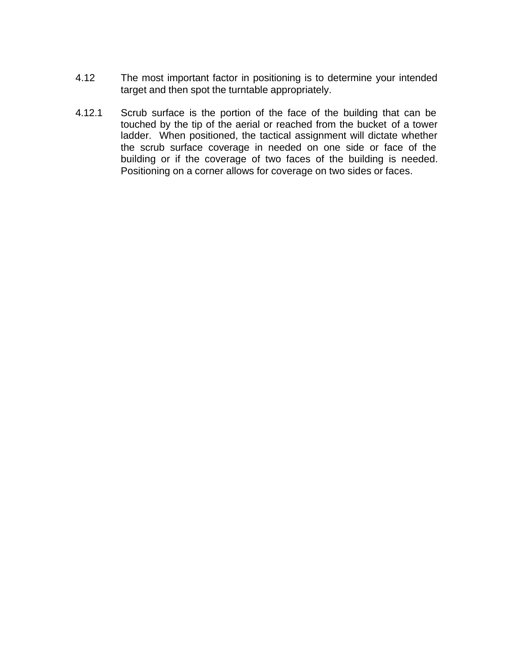- 4.12 The most important factor in positioning is to determine your intended target and then spot the turntable appropriately.
- 4.12.1 Scrub surface is the portion of the face of the building that can be touched by the tip of the aerial or reached from the bucket of a tower ladder. When positioned, the tactical assignment will dictate whether the scrub surface coverage in needed on one side or face of the building or if the coverage of two faces of the building is needed. Positioning on a corner allows for coverage on two sides or faces.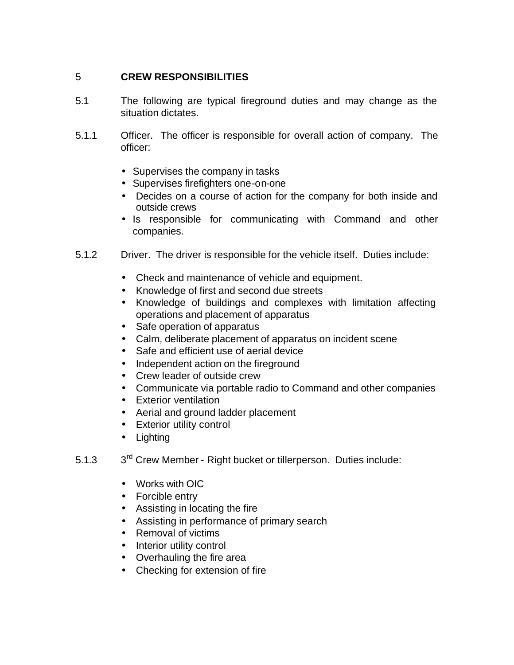#### 5 **CREW RESPONSIBILITIES**

- 5.1 The following are typical fireground duties and may change as the situation dictates.
- 5.1.1 Officer. The officer is responsible for overall action of company. The officer:
	- Supervises the company in tasks
	- Supervises firefighters one-on-one
	- Decides on a course of action for the company for both inside and outside crews
	- Is responsible for communicating with Command and other companies.
- 5.1.2 Driver. The driver is responsible for the vehicle itself. Duties include:
	- Check and maintenance of vehicle and equipment.
	- Knowledge of first and second due streets
	- Knowledge of buildings and complexes with limitation affecting operations and placement of apparatus
	- Safe operation of apparatus
	- Calm, deliberate placement of apparatus on incident scene
	- Safe and efficient use of aerial device
	- Independent action on the fireground
	- Crew leader of outside crew
	- Communicate via portable radio to Command and other companies
	- Exterior ventilation
	- Aerial and ground ladder placement
	- Exterior utility control
	- Lighting
- $5.1.3$ 3<sup>rd</sup> Crew Member - Right bucket or tillerperson. Duties include:
	- Works with OIC
	- Forcible entry
	- Assisting in locating the fire
	- Assisting in performance of primary search
	- Removal of victims
	- Interior utility control
	- Overhauling the fire area
	- Checking for extension of fire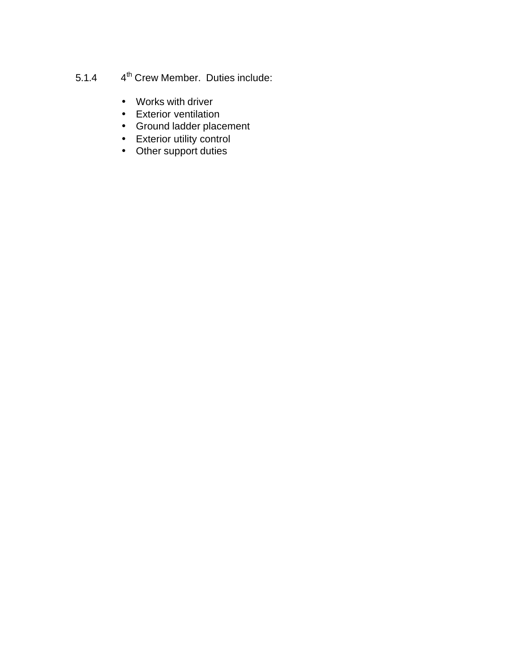#### $5.1.4$ 4<sup>th</sup> Crew Member. Duties include:

- Works with driver
- Exterior ventilation
- Ground ladder placement
- Exterior utility control
- Other support duties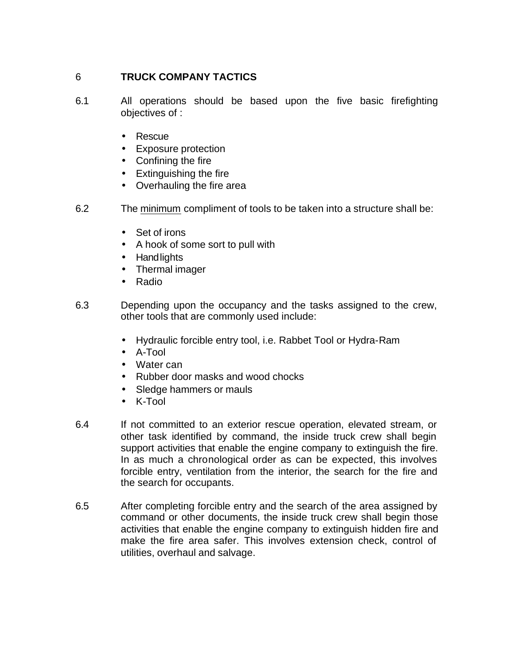#### 6 **TRUCK COMPANY TACTICS**

- 6.1 All operations should be based upon the five basic firefighting objectives of :
	- Rescue
	- Exposure protection
	- Confining the fire
	- Extinguishing the fire
	- Overhauling the fire area
- 6.2 The minimum compliment of tools to be taken into a structure shall be:
	- Set of irons
	- A hook of some sort to pull with
	- Handlights
	- Thermal imager
	- Radio
- 6.3 Depending upon the occupancy and the tasks assigned to the crew, other tools that are commonly used include:
	- Hydraulic forcible entry tool, i.e. Rabbet Tool or Hydra-Ram
	- A-Tool
	- Water can
	- Rubber door masks and wood chocks
	- Sledge hammers or mauls
	- K-Tool
- 6.4 If not committed to an exterior rescue operation, elevated stream, or other task identified by command, the inside truck crew shall begin support activities that enable the engine company to extinguish the fire. In as much a chronological order as can be expected, this involves forcible entry, ventilation from the interior, the search for the fire and the search for occupants.
- 6.5 After completing forcible entry and the search of the area assigned by command or other documents, the inside truck crew shall begin those activities that enable the engine company to extinguish hidden fire and make the fire area safer. This involves extension check, control of utilities, overhaul and salvage.